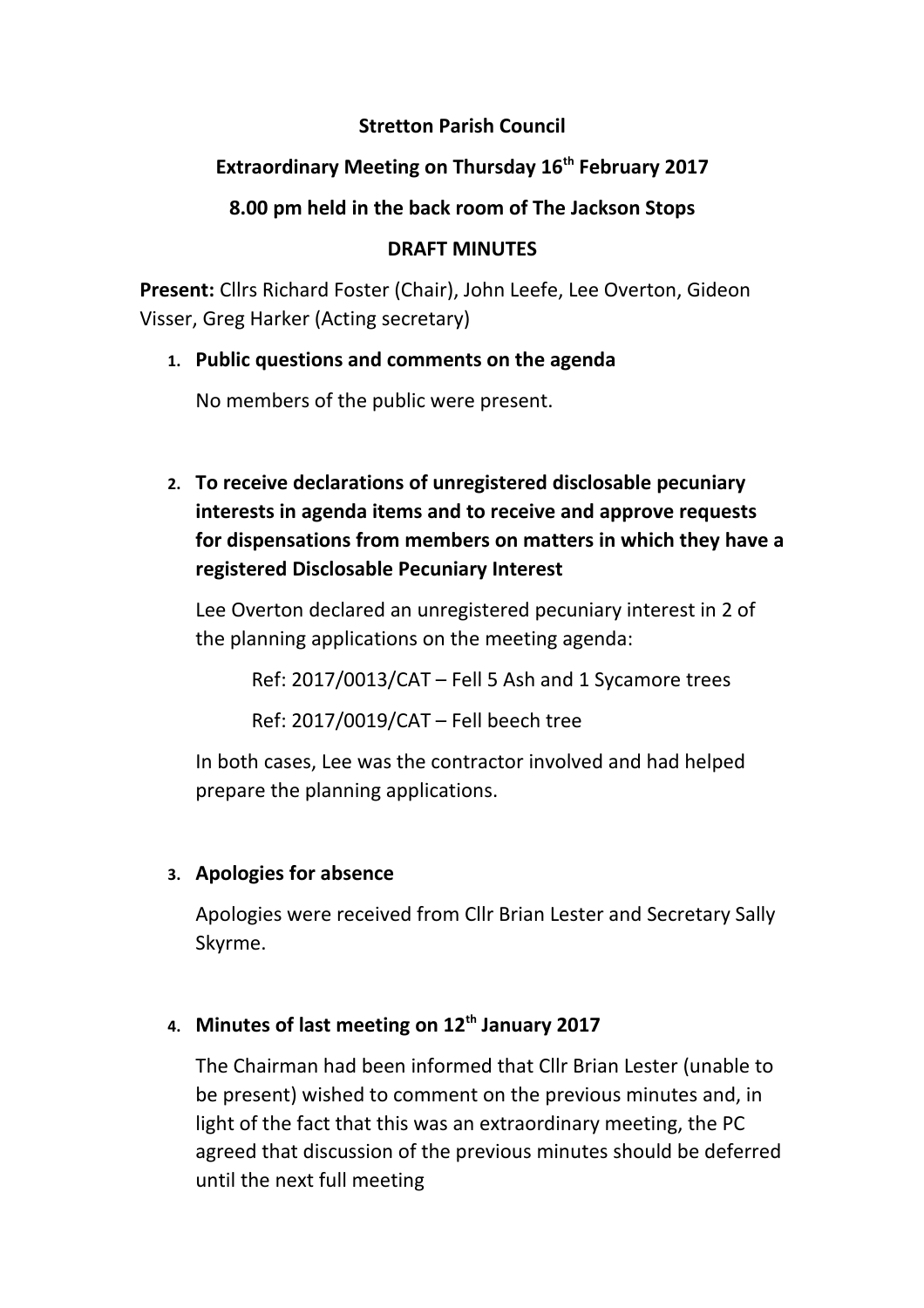### **Stretton Parish Council**

## **Extraordinary Meeting on Thursday 16th February 2017**

## **8.00 pm held in the back room of The Jackson Stops**

### **DRAFT MINUTES**

**Present:** Cllrs Richard Foster (Chair), John Leefe, Lee Overton, Gideon Visser, Greg Harker (Acting secretary)

## **1. Public questions and comments on the agenda**

No members of the public were present.

**2. To receive declarations of unregistered disclosable pecuniary interests in agenda items and to receive and approve requests for dispensations from members on matters in which they have a registered Disclosable Pecuniary Interest**

Lee Overton declared an unregistered pecuniary interest in 2 of the planning applications on the meeting agenda:

Ref: 2017/0013/CAT – Fell 5 Ash and 1 Sycamore trees

Ref: 2017/0019/CAT – Fell beech tree

In both cases, Lee was the contractor involved and had helped prepare the planning applications.

## **3. Apologies for absence**

Apologies were received from Cllr Brian Lester and Secretary Sally Skyrme.

# **4. Minutes of last meeting on 12th January 2017**

The Chairman had been informed that Cllr Brian Lester (unable to be present) wished to comment on the previous minutes and, in light of the fact that this was an extraordinary meeting, the PC agreed that discussion of the previous minutes should be deferred until the next full meeting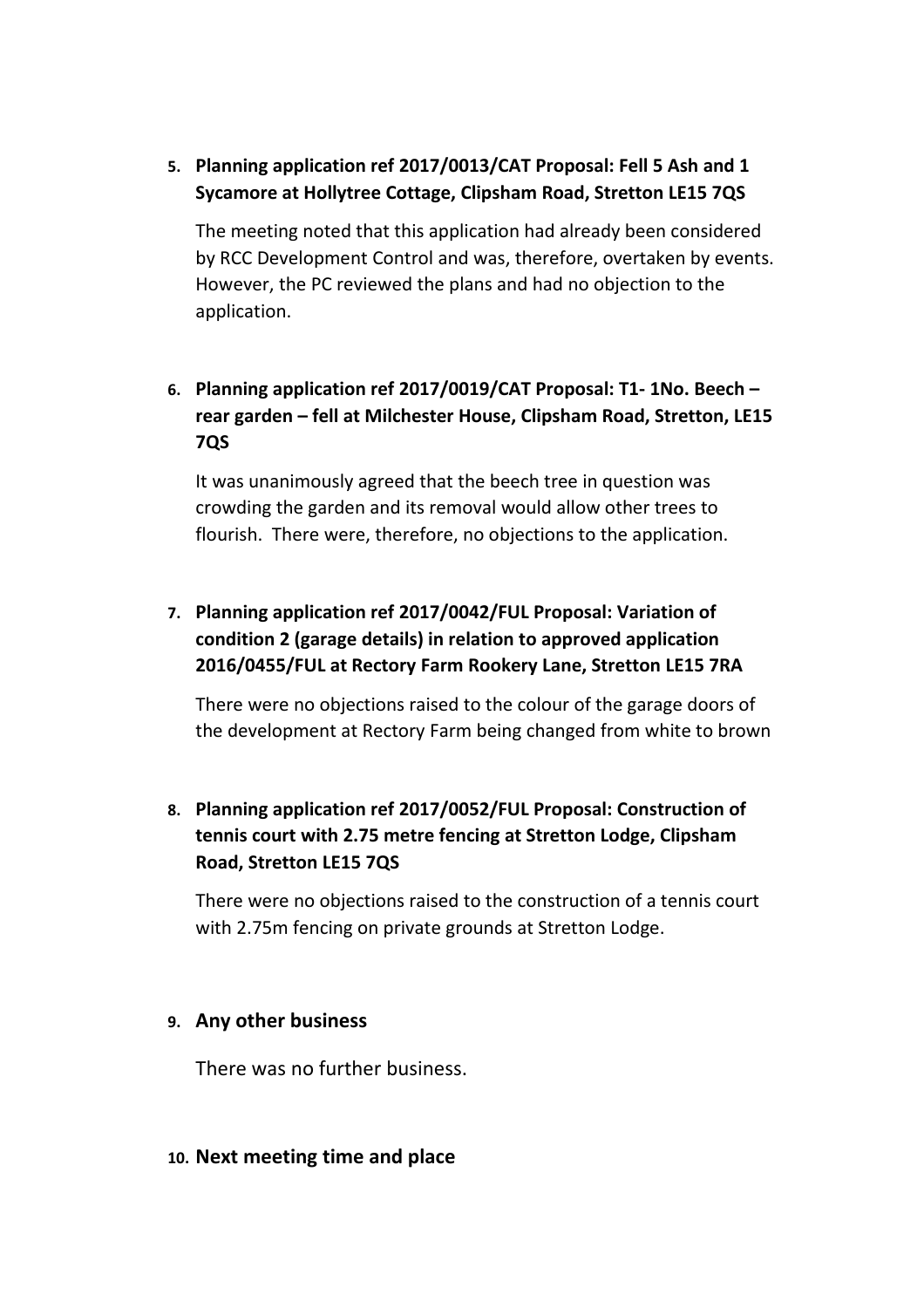### **5. Planning application ref 2017/0013/CAT Proposal: Fell 5 Ash and 1 Sycamore at Hollytree Cottage, Clipsham Road, Stretton LE15 7QS**

The meeting noted that this application had already been considered by RCC Development Control and was, therefore, overtaken by events. However, the PC reviewed the plans and had no objection to the application.

### **6. Planning application ref 2017/0019/CAT Proposal: T1- 1No. Beech – rear garden – fell at Milchester House, Clipsham Road, Stretton, LE15 7QS**

It was unanimously agreed that the beech tree in question was crowding the garden and its removal would allow other trees to flourish. There were, therefore, no objections to the application.

## **7. Planning application ref 2017/0042/FUL Proposal: Variation of condition 2 (garage details) in relation to approved application 2016/0455/FUL at Rectory Farm Rookery Lane, Stretton LE15 7RA**

There were no objections raised to the colour of the garage doors of the development at Rectory Farm being changed from white to brown

## **8. Planning application ref 2017/0052/FUL Proposal: Construction of tennis court with 2.75 metre fencing at Stretton Lodge, Clipsham Road, Stretton LE15 7QS**

There were no objections raised to the construction of a tennis court with 2.75m fencing on private grounds at Stretton Lodge.

#### **9. Any other business**

There was no further business.

#### **10. Next meeting time and place**